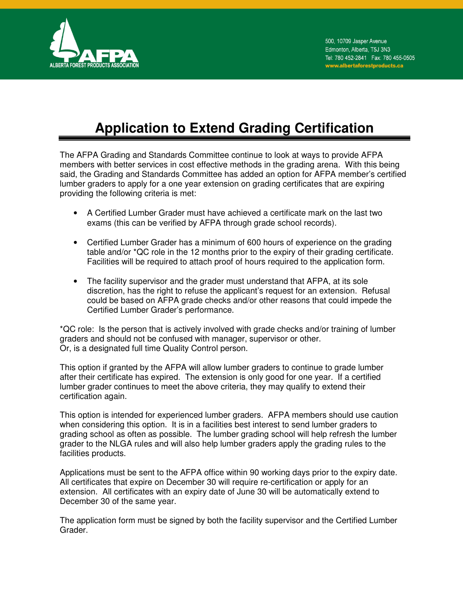

## **Application to Extend Grading Certification**

The AFPA Grading and Standards Committee continue to look at ways to provide AFPA members with better services in cost effective methods in the grading arena. With this being said, the Grading and Standards Committee has added an option for AFPA member's certified lumber graders to apply for a one year extension on grading certificates that are expiring providing the following criteria is met:

- A Certified Lumber Grader must have achieved a certificate mark on the last two exams (this can be verified by AFPA through grade school records).
- Certified Lumber Grader has a minimum of 600 hours of experience on the grading table and/or \*QC role in the 12 months prior to the expiry of their grading certificate. Facilities will be required to attach proof of hours required to the application form.
- The facility supervisor and the grader must understand that AFPA, at its sole discretion, has the right to refuse the applicant's request for an extension. Refusal could be based on AFPA grade checks and/or other reasons that could impede the Certified Lumber Grader's performance.

\*QC role: Is the person that is actively involved with grade checks and/or training of lumber graders and should not be confused with manager, supervisor or other. Or, is a designated full time Quality Control person.

This option if granted by the AFPA will allow lumber graders to continue to grade lumber after their certificate has expired. The extension is only good for one year. If a certified lumber grader continues to meet the above criteria, they may qualify to extend their certification again.

This option is intended for experienced lumber graders. AFPA members should use caution when considering this option. It is in a facilities best interest to send lumber graders to grading school as often as possible. The lumber grading school will help refresh the lumber grader to the NLGA rules and will also help lumber graders apply the grading rules to the facilities products.

Applications must be sent to the AFPA office within 90 working days prior to the expiry date. All certificates that expire on December 30 will require re-certification or apply for an extension. All certificates with an expiry date of June 30 will be automatically extend to December 30 of the same year.

The application form must be signed by both the facility supervisor and the Certified Lumber Grader.